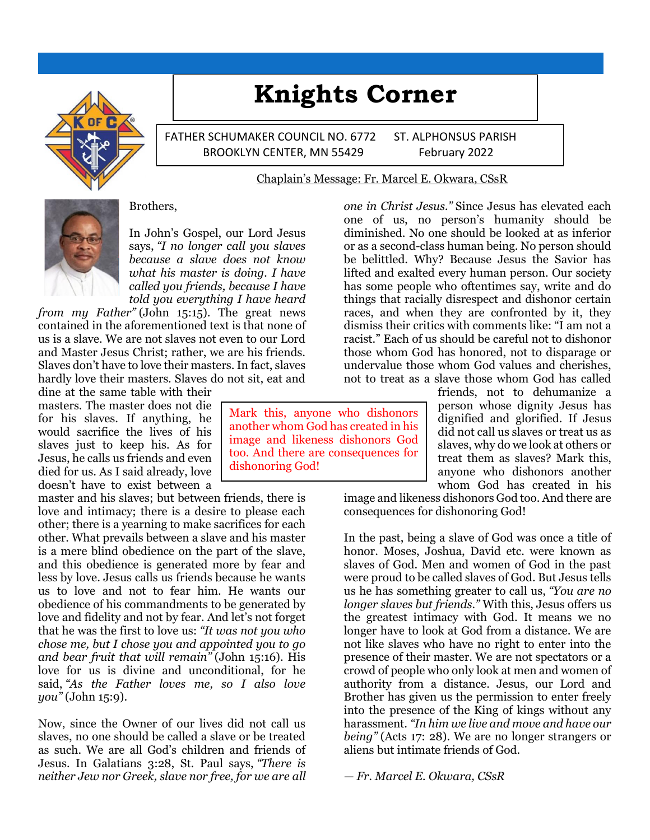

# **Knights Corner**

FATHER SCHUMAKER COUNCIL NO. 6772 ST. ALPHONSUS PARISH BROOKLYN CENTER, MN 55429 February 2022

### Chaplain's Message: Fr. Marcel E. Okwara, CSsR



### Brothers,

In John's Gospel, our Lord Jesus says, *"I no longer call you slaves because a slave does not know what his master is doing. I have called you friends, because I have told you everything I have heard* 

*from my Father"* (John 15:15). The great news contained in the aforementioned text is that none of us is a slave. We are not slaves not even to our Lord and Master Jesus Christ; rather, we are his friends. Slaves don't have to love their masters. In fact, slaves hardly love their masters. Slaves do not sit, eat and

dine at the same table with their masters. The master does not die for his slaves. If anything, he would sacrifice the lives of his slaves just to keep his. As for Jesus, he calls us friends and even died for us. As I said already, love doesn't have to exist between a

master and his slaves; but between friends, there is love and intimacy; there is a desire to please each other; there is a yearning to make sacrifices for each other. What prevails between a slave and his master is a mere blind obedience on the part of the slave, and this obedience is generated more by fear and less by love. Jesus calls us friends because he wants us to love and not to fear him. He wants our obedience of his commandments to be generated by love and fidelity and not by fear. And let's not forget that he was the first to love us: *"It was not you who chose me, but I chose you and appointed you to go and bear fruit that will remain"* (John 15:16). His love for us is divine and unconditional, for he said, *"As the Father loves me, so I also love you"* (John 15:9).

Now, since the Owner of our lives did not call us slaves, no one should be called a slave or be treated as such. We are all God's children and friends of Jesus. In Galatians 3:28, St. Paul says, *"There is neither Jew nor Greek, slave nor free, for we are all* 

*one in Christ Jesus."* Since Jesus has elevated each one of us, no person's humanity should be diminished. No one should be looked at as inferior or as a second-class human being. No person should be belittled. Why? Because Jesus the Savior has lifted and exalted every human person. Our society has some people who oftentimes say, write and do things that racially disrespect and dishonor certain races, and when they are confronted by it, they dismiss their critics with comments like: "I am not a racist." Each of us should be careful not to dishonor those whom God has honored, not to disparage or undervalue those whom God values and cherishes, not to treat as a slave those whom God has called

friends, not to dehumanize a person whose dignity Jesus has dignified and glorified. If Jesus did not call us slaves or treat us as slaves, why do we look at others or treat them as slaves? Mark this, anyone who dishonors another whom God has created in his

image and likeness dishonors God too. And there are consequences for dishonoring God!

In the past, being a slave of God was once a title of honor. Moses, Joshua, David etc. were known as slaves of God. Men and women of God in the past were proud to be called slaves of God. But Jesus tells us he has something greater to call us, *"You are no longer slaves but friends."* With this, Jesus offers us the greatest intimacy with God. It means we no longer have to look at God from a distance. We are not like slaves who have no right to enter into the presence of their master. We are not spectators or a crowd of people who only look at men and women of authority from a distance. Jesus, our Lord and Brother has given us the permission to enter freely into the presence of the King of kings without any harassment. *"In him we live and move and have our being"* (Acts 17: 28). We are no longer strangers or aliens but intimate friends of God.

*— Fr. Marcel E. Okwara, CSsR*

Mark this, anyone who dishonors another whom God has created in his image and likeness dishonors God too. And there are consequences for dishonoring God!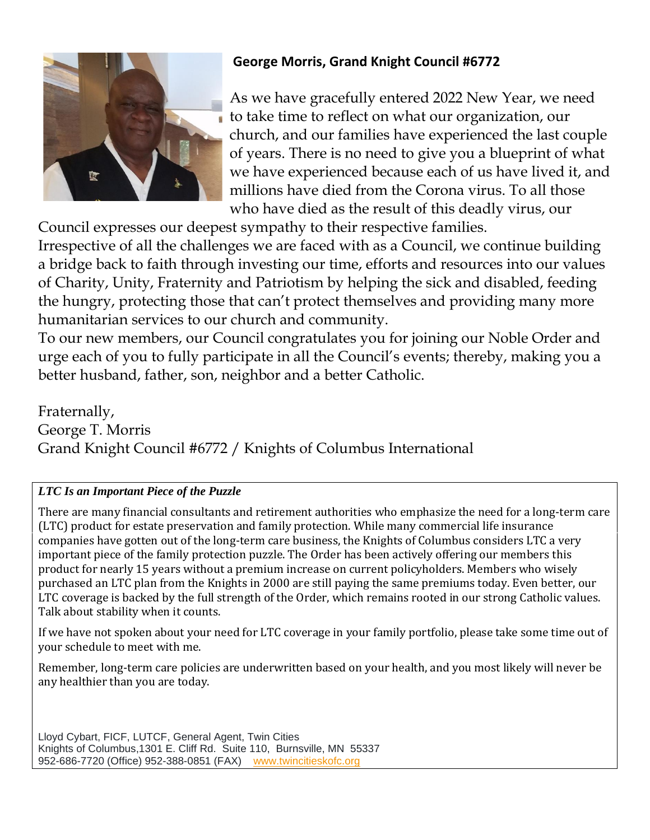

# **George Morris, Grand Knight Council #6772**

As we have gracefully entered 2022 New Year, we need to take time to reflect on what our organization, our church, and our families have experienced the last couple of years. There is no need to give you a blueprint of what we have experienced because each of us have lived it, and millions have died from the Corona virus. To all those who have died as the result of this deadly virus, our

Council expresses our deepest sympathy to their respective families. Irrespective of all the challenges we are faced with as a Council, we continue building a bridge back to faith through investing our time, efforts and resources into our values of Charity, Unity, Fraternity and Patriotism by helping the sick and disabled, feeding the hungry, protecting those that can't protect themselves and providing many more humanitarian services to our church and community.

To our new members, our Council congratulates you for joining our Noble Order and urge each of you to fully participate in all the Council's events; thereby, making you a better husband, father, son, neighbor and a better Catholic.

Fraternally, George T. Morris Grand Knight Council #6772 / Knights of Columbus International

# *LTC Is an Important Piece of the Puzzle*

There are many financial consultants and retirement authorities who emphasize the need for a long-term care (LTC) product for estate preservation and family protection. While many commercial life insurance companies have gotten out of the long-term care business, the Knights of Columbus considers LTC a very important piece of the family protection puzzle. The Order has been actively offering our members this product for nearly 15 years without a premium increase on current policyholders. Members who wisely purchased an LTC plan from the Knights in 2000 are still paying the same premiums today. Even better, our LTC coverage is backed by the full strength of the Order, which remains rooted in our strong Catholic values. Talk about stability when it counts.

If we have not spoken about your need for LTC coverage in your family portfolio, please take some time out of your schedule to meet with me.

Remember, long-term care policies are underwritten based on your health, and you most likely will never be any healthier than you are today.

Lloyd Cybart, FICF, LUTCF, General Agent, Twin Cities Knights of Columbus,1301 E. Cliff Rd. Suite 110, Burnsville, MN 55337 952-686-7720 (Office) 952-388-0851 (FAX) [www.twincitieskofc.org](http://www.twincitieskofc.org/)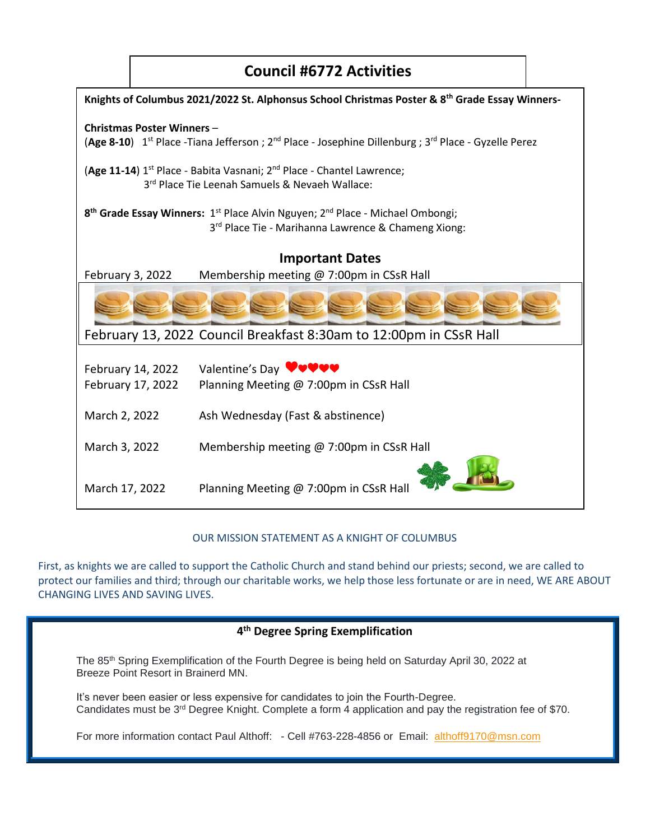

## OUR MISSION STATEMENT AS A KNIGHT OF COLUMBUS

First, as knights we are called to support the Catholic Church and stand behind our priests; second, we are called to protect our families and third; through our charitable works, we help those less fortunate or are in need, WE ARE ABOUT CHANGING LIVES AND SAVING LIVES.

## **4 th Degree Spring Exemplification**

The 85th Spring Exemplification of the Fourth Degree is being held on Saturday April 30, 2022 at Breeze Point Resort in Brainerd MN.

It's never been easier or less expensive for candidates to join the Fourth-Degree. Candidates must be  $3^{rd}$  Degree Knight. Complete a form 4 application and pay the registration fee of \$70.

For more information contact Paul Althoff: - Cell #763-228-4856 or Email: [althoff9170@msn.com](mailto:althoff9170@msn.com)